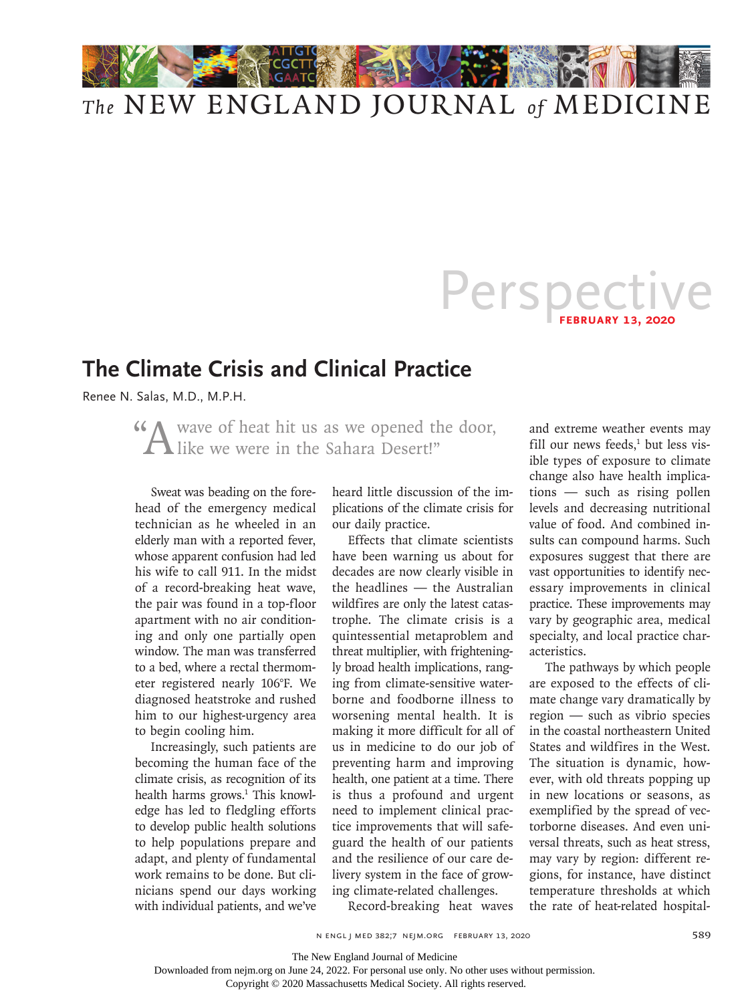

## Perspect **February 13, 2020**

## **The Climate Crisis and Clinical Practice**

Renee N. Salas, M.D., M.P.H.

"A wave of heat hit us as we opened the door, like we were in the Sahara Desert!"

Sweat was beading on the forehead of the emergency medical technician as he wheeled in an elderly man with a reported fever, whose apparent confusion had led his wife to call 911. In the midst of a record-breaking heat wave, the pair was found in a top-floor apartment with no air conditioning and only one partially open window. The man was transferred to a bed, where a rectal thermometer registered nearly 106°F. We diagnosed heatstroke and rushed him to our highest-urgency area to begin cooling him.

Increasingly, such patients are becoming the human face of the climate crisis, as recognition of its health harms grows.<sup>1</sup> This knowledge has led to fledgling efforts to develop public health solutions to help populations prepare and adapt, and plenty of fundamental work remains to be done. But clinicians spend our days working with individual patients, and we've

heard little discussion of the implications of the climate crisis for our daily practice.

Effects that climate scientists have been warning us about for decades are now clearly visible in the headlines — the Australian wildfires are only the latest catastrophe. The climate crisis is a quintessential metaproblem and threat multiplier, with frighteningly broad health implications, ranging from climate-sensitive waterborne and foodborne illness to worsening mental health. It is making it more difficult for all of us in medicine to do our job of preventing harm and improving health, one patient at a time. There is thus a profound and urgent need to implement clinical practice improvements that will safeguard the health of our patients and the resilience of our care delivery system in the face of growing climate-related challenges.

and extreme weather events may fill our news feeds,<sup>1</sup> but less visible types of exposure to climate change also have health implications — such as rising pollen levels and decreasing nutritional value of food. And combined insults can compound harms. Such exposures suggest that there are vast opportunities to identify necessary improvements in clinical practice. These improvements may vary by geographic area, medical specialty, and local practice characteristics.

The pathways by which people are exposed to the effects of climate change vary dramatically by region — such as vibrio species in the coastal northeastern United States and wildfires in the West. The situation is dynamic, however, with old threats popping up in new locations or seasons, as exemplified by the spread of vectorborne diseases. And even universal threats, such as heat stress, may vary by region: different regions, for instance, have distinct temperature thresholds at which the rate of heat-related hospital-

Record-breaking heat waves

The New England Journal of Medicine

Downloaded from nejm.org on June 24, 2022. For personal use only. No other uses without permission.

Copyright © 2020 Massachusetts Medical Society. All rights reserved.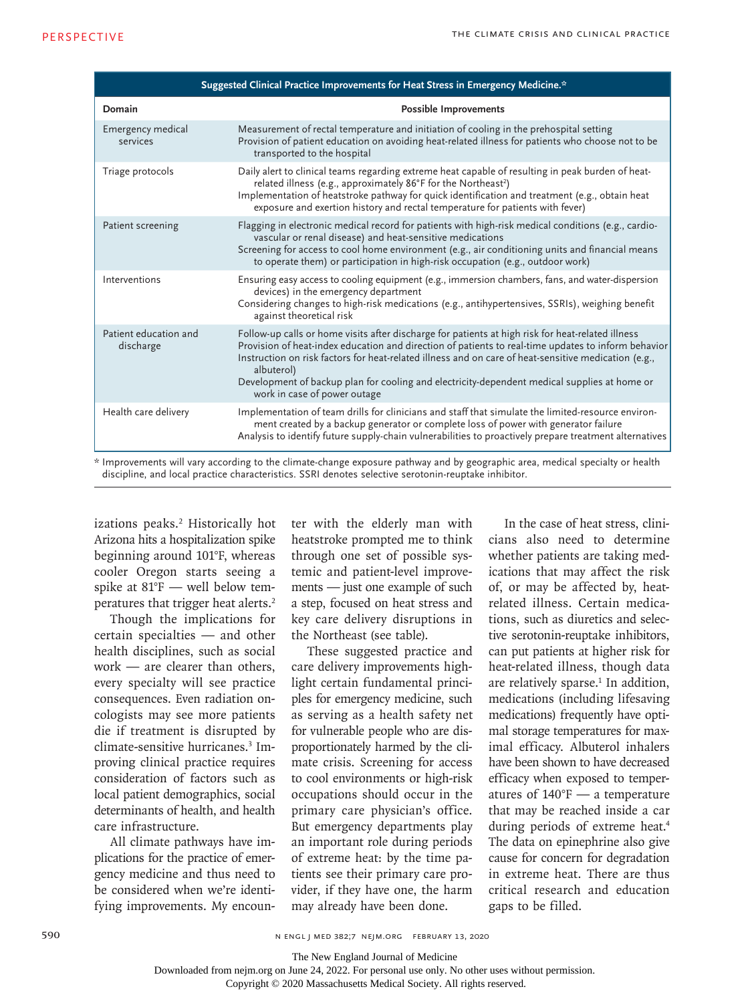| Suggested Clinical Practice Improvements for Heat Stress in Emergency Medicine.* |                                                                                                                                                                                                                                                                                                                                                                                                                                                                |
|----------------------------------------------------------------------------------|----------------------------------------------------------------------------------------------------------------------------------------------------------------------------------------------------------------------------------------------------------------------------------------------------------------------------------------------------------------------------------------------------------------------------------------------------------------|
| Domain                                                                           | <b>Possible Improvements</b>                                                                                                                                                                                                                                                                                                                                                                                                                                   |
| Emergency medical<br>services                                                    | Measurement of rectal temperature and initiation of cooling in the prehospital setting<br>Provision of patient education on avoiding heat-related illness for patients who choose not to be<br>transported to the hospital                                                                                                                                                                                                                                     |
| Triage protocols                                                                 | Daily alert to clinical teams regarding extreme heat capable of resulting in peak burden of heat-<br>related illness (e.g., approximately 86°F for the Northeast <sup>2</sup> )<br>Implementation of heatstroke pathway for quick identification and treatment (e.g., obtain heat<br>exposure and exertion history and rectal temperature for patients with fever)                                                                                             |
| Patient screening                                                                | Flagging in electronic medical record for patients with high-risk medical conditions (e.g., cardio-<br>vascular or renal disease) and heat-sensitive medications<br>Screening for access to cool home environment (e.g., air conditioning units and financial means<br>to operate them) or participation in high-risk occupation (e.g., outdoor work)                                                                                                          |
| Interventions                                                                    | Ensuring easy access to cooling equipment (e.g., immersion chambers, fans, and water-dispersion<br>devices) in the emergency department<br>Considering changes to high-risk medications (e.g., antihypertensives, SSRIs), weighing benefit<br>against theoretical risk                                                                                                                                                                                         |
| Patient education and<br>discharge                                               | Follow-up calls or home visits after discharge for patients at high risk for heat-related illness<br>Provision of heat-index education and direction of patients to real-time updates to inform behavior<br>Instruction on risk factors for heat-related illness and on care of heat-sensitive medication (e.g.,<br>albuterol)<br>Development of backup plan for cooling and electricity-dependent medical supplies at home or<br>work in case of power outage |
| Health care delivery                                                             | Implementation of team drills for clinicians and staff that simulate the limited-resource environ-<br>ment created by a backup generator or complete loss of power with generator failure<br>Analysis to identify future supply-chain vulnerabilities to proactively prepare treatment alternatives                                                                                                                                                            |

\* Improvements will vary according to the climate-change exposure pathway and by geographic area, medical specialty or health discipline, and local practice characteristics. SSRI denotes selective serotonin-reuptake inhibitor.

izations peaks.<sup>2</sup> Historically hot Arizona hits a hospitalization spike beginning around 101°F, whereas cooler Oregon starts seeing a spike at 81°F — well below temperatures that trigger heat alerts.<sup>2</sup>

Though the implications for certain specialties — and other health disciplines, such as social work — are clearer than others, every specialty will see practice consequences. Even radiation oncologists may see more patients die if treatment is disrupted by climate-sensitive hurricanes.3 Improving clinical practice requires consideration of factors such as local patient demographics, social determinants of health, and health care infrastructure.

All climate pathways have implications for the practice of emergency medicine and thus need to be considered when we're identifying improvements. My encounter with the elderly man with heatstroke prompted me to think through one set of possible systemic and patient-level improvements — just one example of such a step, focused on heat stress and key care delivery disruptions in the Northeast (see table).

These suggested practice and care delivery improvements highlight certain fundamental principles for emergency medicine, such as serving as a health safety net for vulnerable people who are disproportionately harmed by the climate crisis. Screening for access to cool environments or high-risk occupations should occur in the primary care physician's office. But emergency departments play an important role during periods of extreme heat: by the time patients see their primary care provider, if they have one, the harm may already have been done.

In the case of heat stress, clinicians also need to determine whether patients are taking medications that may affect the risk of, or may be affected by, heatrelated illness. Certain medications, such as diuretics and selective serotonin-reuptake inhibitors, can put patients at higher risk for heat-related illness, though data are relatively sparse.<sup>1</sup> In addition, medications (including lifesaving medications) frequently have optimal storage temperatures for maximal efficacy. Albuterol inhalers have been shown to have decreased efficacy when exposed to temperatures of 140°F — a temperature that may be reached inside a car during periods of extreme heat.<sup>4</sup> The data on epinephrine also give cause for concern for degradation in extreme heat. There are thus critical research and education gaps to be filled.

The New England Journal of Medicine

Copyright © 2020 Massachusetts Medical Society. All rights reserved.

Downloaded from nejm.org on June 24, 2022. For personal use only. No other uses without permission.